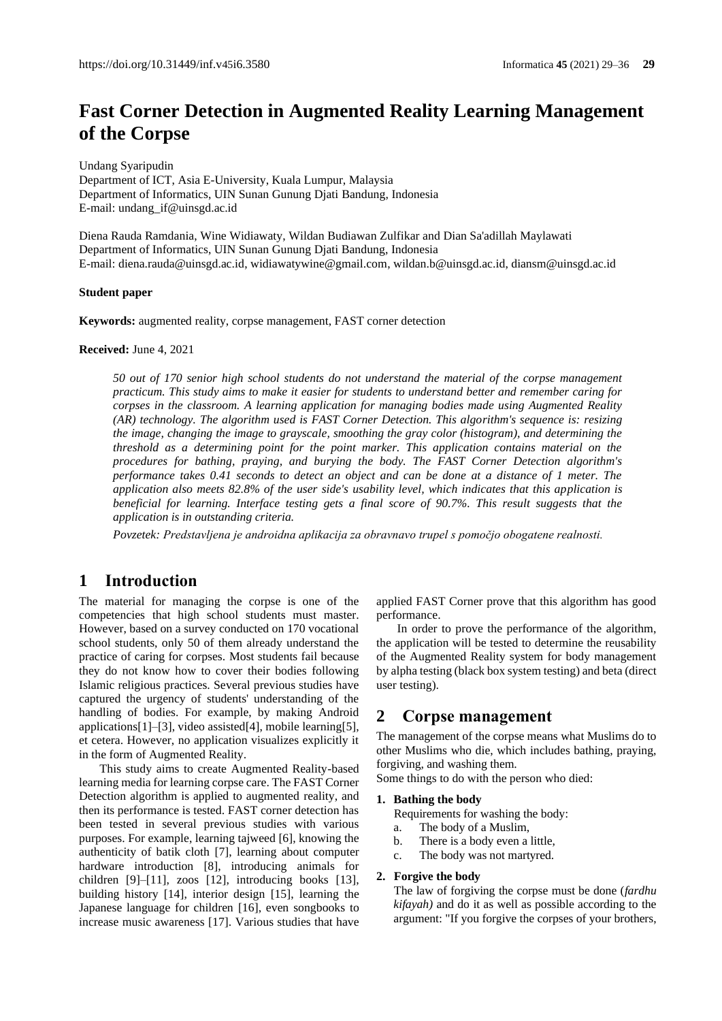# **Fast Corner Detection in Augmented Reality Learning Management of the Corpse**

Undang Syaripudin

Department of ICT, Asia E-University, Kuala Lumpur, Malaysia Department of Informatics, UIN Sunan Gunung Djati Bandung, Indonesia E-mail: undang\_if@uinsgd.ac.id

Diena Rauda Ramdania, Wine Widiawaty, Wildan Budiawan Zulfikar and Dian Sa'adillah Maylawati Department of Informatics, UIN Sunan Gunung Djati Bandung, Indonesia E-mail[: diena.rauda@uinsgd.ac.id,](mailto:diena.rauda@uinsgd.ac.id) [widiawatywine@gmail.com,](mailto:widiawatywine@gmail.com) [wildan.b@uinsgd.ac.id,](mailto:wildan.b@uinsgd.ac.id) diansm@uinsgd.ac.id

### **Student paper**

**Keywords:** augmented reality, corpse management, FAST corner detection

**Received:** June 4, 2021

*50 out of 170 senior high school students do not understand the material of the corpse management practicum. This study aims to make it easier for students to understand better and remember caring for corpses in the classroom. A learning application for managing bodies made using Augmented Reality (AR) technology. The algorithm used is FAST Corner Detection. This algorithm's sequence is: resizing the image, changing the image to grayscale, smoothing the gray color (histogram), and determining the threshold as a determining point for the point marker. This application contains material on the procedures for bathing, praying, and burying the body. The FAST Corner Detection algorithm's performance takes 0.41 seconds to detect an object and can be done at a distance of 1 meter. The application also meets 82.8% of the user side's usability level, which indicates that this application is beneficial for learning. Interface testing gets a final score of 90.7%. This result suggests that the application is in outstanding criteria.*

*Povzetek: Predstavljena je androidna aplikacija za obravnavo trupel s pomočjo obogatene realnosti.*

# **1 Introduction**

The material for managing the corpse is one of the competencies that high school students must master. However, based on a survey conducted on 170 vocational school students, only 50 of them already understand the practice of caring for corpses. Most students fail because they do not know how to cover their bodies following Islamic religious practices. Several previous studies have captured the urgency of students' understanding of the handling of bodies. For example, by making Android applications[1]–[3], video assisted[4], mobile learning[5], et cetera. However, no application visualizes explicitly it in the form of Augmented Reality.

This study aims to create Augmented Reality-based learning media for learning corpse care. The FAST Corner Detection algorithm is applied to augmented reality, and then its performance is tested. FAST corner detection has been tested in several previous studies with various purposes. For example, learning tajweed [6], knowing the authenticity of batik cloth [7], learning about computer hardware introduction [8], introducing animals for children [9]–[11], zoos [12], introducing books [13], building history [14], interior design [15], learning the Japanese language for children [16], even songbooks to increase music awareness [17]. Various studies that have applied FAST Corner prove that this algorithm has good performance.

In order to prove the performance of the algorithm, the application will be tested to determine the reusability of the Augmented Reality system for body management by alpha testing (black box system testing) and beta (direct user testing).

## **2 Corpse management**

The management of the corpse means what Muslims do to other Muslims who die, which includes bathing, praying, forgiving, and washing them.

Some things to do with the person who died:

#### **1. Bathing the body**

Requirements for washing the body:

- a. The body of a Muslim,
- b. There is a body even a little,
- c. The body was not martyred.

#### **2. Forgive the body**

The law of forgiving the corpse must be done (*fardhu kifayah)* and do it as well as possible according to the argument: "If you forgive the corpses of your brothers,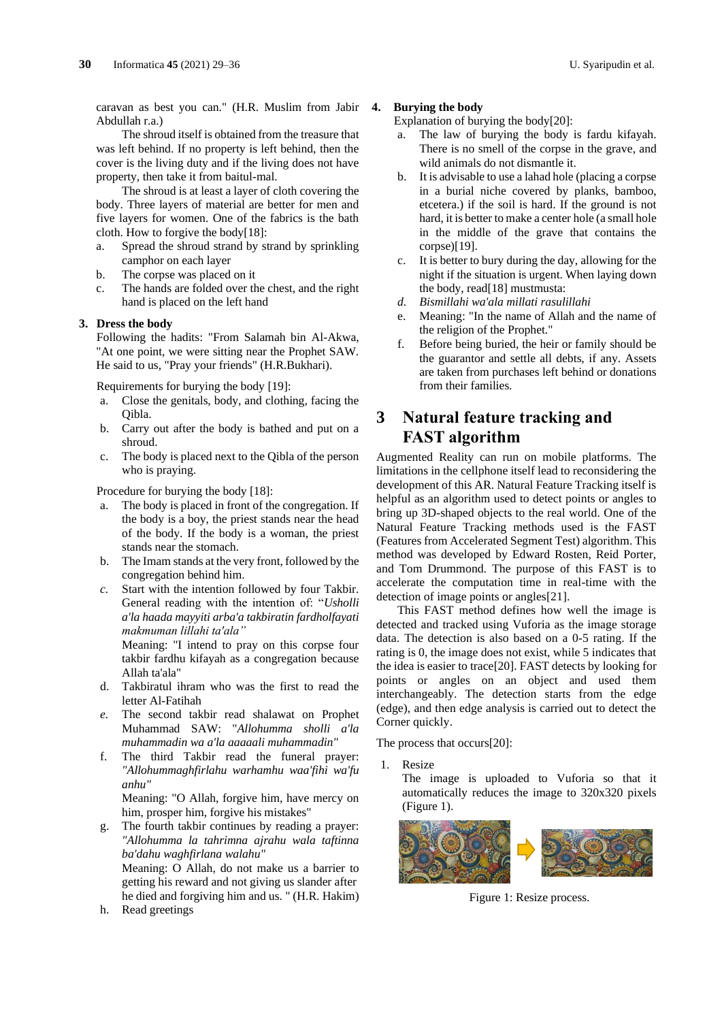caravan as best you can." (H.R. Muslim from Jabir Abdullah r.a.)

The shroud itself is obtained from the treasure that was left behind. If no property is left behind, then the cover is the living duty and if the living does not have property, then take it from baitul-mal.

The shroud is at least a layer of cloth covering the body. Three layers of material are better for men and five layers for women. One of the fabrics is the bath cloth. How to forgive the body[18]:

- a. Spread the shroud strand by strand by sprinkling camphor on each layer
- b. The corpse was placed on it
- c. The hands are folded over the chest, and the right hand is placed on the left hand

### **3. Dress the body**

Following the hadits: "From Salamah bin Al-Akwa, "At one point, we were sitting near the Prophet SAW. He said to us, "Pray your friends" (H.R.Bukhari).

Requirements for burying the body [19]:

- a. Close the genitals, body, and clothing, facing the Qibla.
- b. Carry out after the body is bathed and put on a shroud.
- c. The body is placed next to the Qibla of the person who is praying.

Procedure for burying the body [18]:

- a. The body is placed in front of the congregation. If the body is a boy, the priest stands near the head of the body. If the body is a woman, the priest stands near the stomach.
- b. The Imam stands at the very front, followed by the congregation behind him.
- *c.* Start with the intention followed by four Takbir. General reading with the intention of: "*Usholli a'la haada mayyiti arba'a takbiratin fardholfayati makmuman lillahi ta'ala"*

Meaning: "I intend to pray on this corpse four takbir fardhu kifayah as a congregation because Allah ta'ala"

- d. Takbiratul ihram who was the first to read the letter Al-Fatihah
- *e.* The second takbir read shalawat on Prophet Muhammad SAW: "*Allohumma sholli a'la muhammadin wa a'la aaaaali muhammadin"*
- f. The third Takbir read the funeral prayer: *"Allohummaghfirlahu warhamhu waa'fihi wa'fu anhu"*

Meaning: "O Allah, forgive him, have mercy on him, prosper him, forgive his mistakes"

g. The fourth takbir continues by reading a prayer: *"Allohumma la tahrimna ajrahu wala taftinna ba'dahu waghfirlana walahu"*

Meaning: O Allah, do not make us a barrier to getting his reward and not giving us slander after he died and forgiving him and us. " (H.R. Hakim)

h. Read greetings

### **4. Burying the body**

Explanation of burying the body[20]:

- a. The law of burying the body is fardu kifayah. There is no smell of the corpse in the grave, and wild animals do not dismantle it.
- b. It is advisable to use a lahad hole (placing a corpse in a burial niche covered by planks, bamboo, etcetera.) if the soil is hard. If the ground is not hard, it is better to make a center hole (a small hole in the middle of the grave that contains the corpse)[19].
- c. It is better to bury during the day, allowing for the night if the situation is urgent. When laying down the body, read[18] mustmusta:
- *d. Bismillahi wa'ala millati rasulillahi*
- e. Meaning: "In the name of Allah and the name of the religion of the Prophet."
- f. Before being buried, the heir or family should be the guarantor and settle all debts, if any. Assets are taken from purchases left behind or donations from their families.

# **3 Natural feature tracking and FAST algorithm**

Augmented Reality can run on mobile platforms. The limitations in the cellphone itself lead to reconsidering the development of this AR. Natural Feature Tracking itself is helpful as an algorithm used to detect points or angles to bring up 3D-shaped objects to the real world. One of the Natural Feature Tracking methods used is the FAST (Features from Accelerated Segment Test) algorithm. This method was developed by Edward Rosten, Reid Porter, and Tom Drummond. The purpose of this FAST is to accelerate the computation time in real-time with the detection of image points or angles[21].

This FAST method defines how well the image is detected and tracked using Vuforia as the image storage data. The detection is also based on a 0-5 rating. If the rating is 0, the image does not exist, while 5 indicates that the idea is easier to trace[20]. FAST detects by looking for points or angles on an object and used them interchangeably. The detection starts from the edge (edge), and then edge analysis is carried out to detect the Corner quickly.

The process that occurs[20]:

1. Resize

The image is uploaded to Vuforia so that it automatically reduces the image to 320x320 pixels (Figure 1).



Figure 1: Resize process.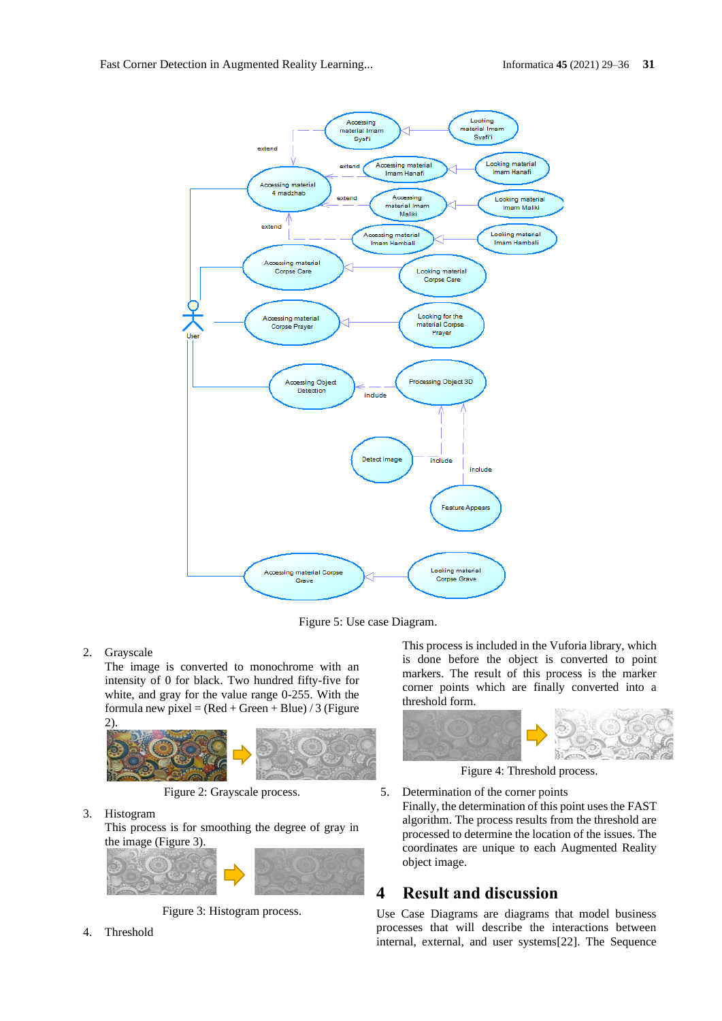

Figure 5: Use case Diagram.

## 2. Grayscale

The image is converted to monochrome with an intensity of 0 for black. Two hundred fifty-five for white, and gray for the value range 0-255. With the formula new pixel =  $(Red + Green + Blue) / 3$  (Figure 2).



Figure 2: Grayscale process.

3. Histogram

This process is for smoothing the degree of gray in the image (Figure 3).



Figure 3: Histogram process.

This process is included in the Vuforia library, which is done before the object is converted to point markers. The result of this process is the marker corner points which are finally converted into a threshold form.



Figure 4: Threshold process.

5. Determination of the corner points Finally, the determination of this point uses the FAST algorithm. The process results from the threshold are processed to determine the location of the issues. The coordinates are unique to each Augmented Reality object image.

# **4 Result and discussion**

Use Case Diagrams are diagrams that model business processes that will describe the interactions between internal, external, and user systems[22]. The Sequence

4. Threshold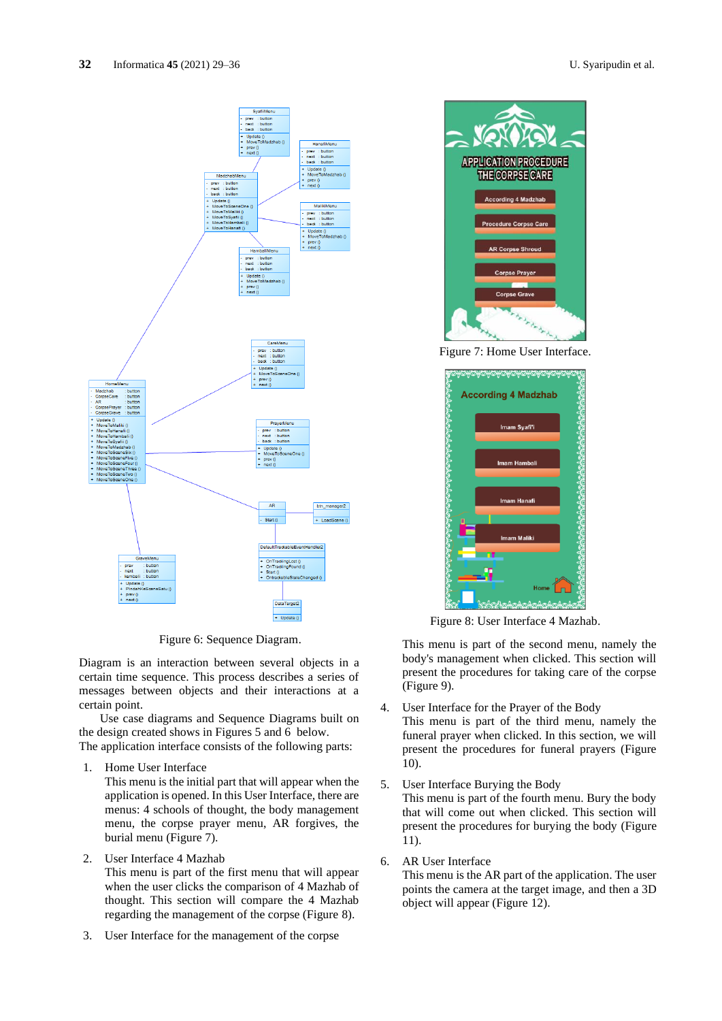

Figure 6: Sequence Diagram.

Diagram is an interaction between several objects in a certain time sequence. This process describes a series of messages between objects and their interactions at a certain point.

Use case diagrams and Sequence Diagrams built on the design created shows in Figures 5 and 6 below. The application interface consists of the following parts:

1. Home User Interface

This menu is the initial part that will appear when the application is opened. In this User Interface, there are menus: 4 schools of thought, the body management menu, the corpse prayer menu, AR forgives, the burial menu (Figure 7).

2. User Interface 4 Mazhab

This menu is part of the first menu that will appear when the user clicks the comparison of 4 Mazhab of thought. This section will compare the 4 Mazhab regarding the management of the corpse (Figure 8).

3. User Interface for the management of the corpse

**APPLICATION PROCEDURE** THE CORPSE CARE .<br>According 4 Madzhab dure Corpse Care R Corpse Sh

Figure 7: Home User Interface.



Figure 8: User Interface 4 Mazhab.

This menu is part of the second menu, namely the body's management when clicked. This section will present the procedures for taking care of the corpse (Figure 9).

- 4. User Interface for the Prayer of the Body This menu is part of the third menu, namely the funeral prayer when clicked. In this section, we will present the procedures for funeral prayers (Figure 10).
- 5. User Interface Burying the Body This menu is part of the fourth menu. Bury the body that will come out when clicked. This section will present the procedures for burying the body (Figure 11).
- 6. AR User Interface

This menu is the AR part of the application. The user points the camera at the target image, and then a 3D object will appear (Figure 12).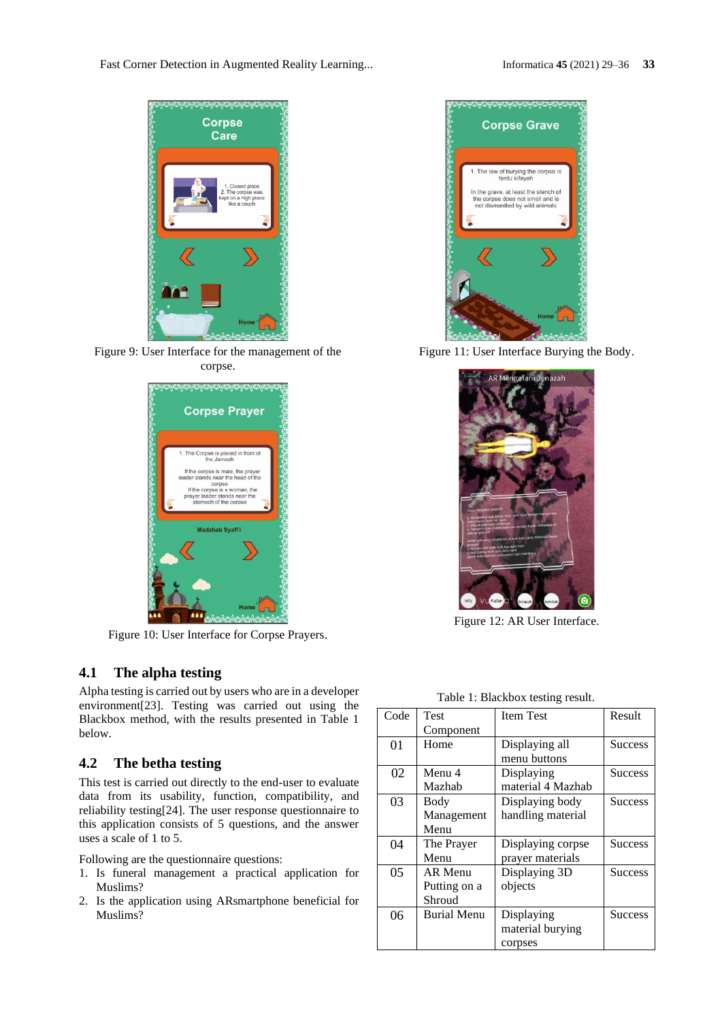Fast Corner Detection in Augmented Reality Learning... Informatica **45** (2021) 29–36 **33**



Figure 9: User Interface for the management of the corpse.



Figure 10: User Interface for Corpse Prayers.

## **4.1 The alpha testing**

Alpha testing is carried out by users who are in a developer environment[23]. Testing was carried out using the Blackbox method, with the results presented in Table 1 below.

# **4.2 The betha testing**

This test is carried out directly to the end-user to evaluate data from its usability, function, compatibility, and reliability testing[24]. The user response questionnaire to this application consists of 5 questions, and the answer uses a scale of 1 to 5.

Following are the questionnaire questions:

- 1. Is funeral management a practical application for Muslims?
- 2. Is the application using ARsmartphone beneficial for Muslims?



Figure 11: User Interface Burying the Body.



Figure 12: AR User Interface.

| Table 1: Blackbox testing result. |  |
|-----------------------------------|--|
|-----------------------------------|--|

| Code | Test               | <b>Item Test</b>  | Result         |
|------|--------------------|-------------------|----------------|
|      | Component          |                   |                |
| 01   | Home               | Displaying all    | <b>Success</b> |
|      |                    | menu buttons      |                |
| 02   | Menu 4             | Displaying        | <b>Success</b> |
|      | Mazhab             | material 4 Mazhab |                |
| 03   | Body               | Displaying body   | <b>Success</b> |
|      | Management         | handling material |                |
|      | Menu               |                   |                |
| 04   | The Prayer         | Displaying corpse | <b>Success</b> |
|      | Menu               | prayer materials  |                |
| 05   | AR Menu            | Displaying 3D     | <b>Success</b> |
|      | Putting on a       | objects           |                |
|      | Shroud             |                   |                |
| 06   | <b>Burial Menu</b> | Displaying        | <b>Success</b> |
|      |                    | material burying  |                |
|      |                    | corpses           |                |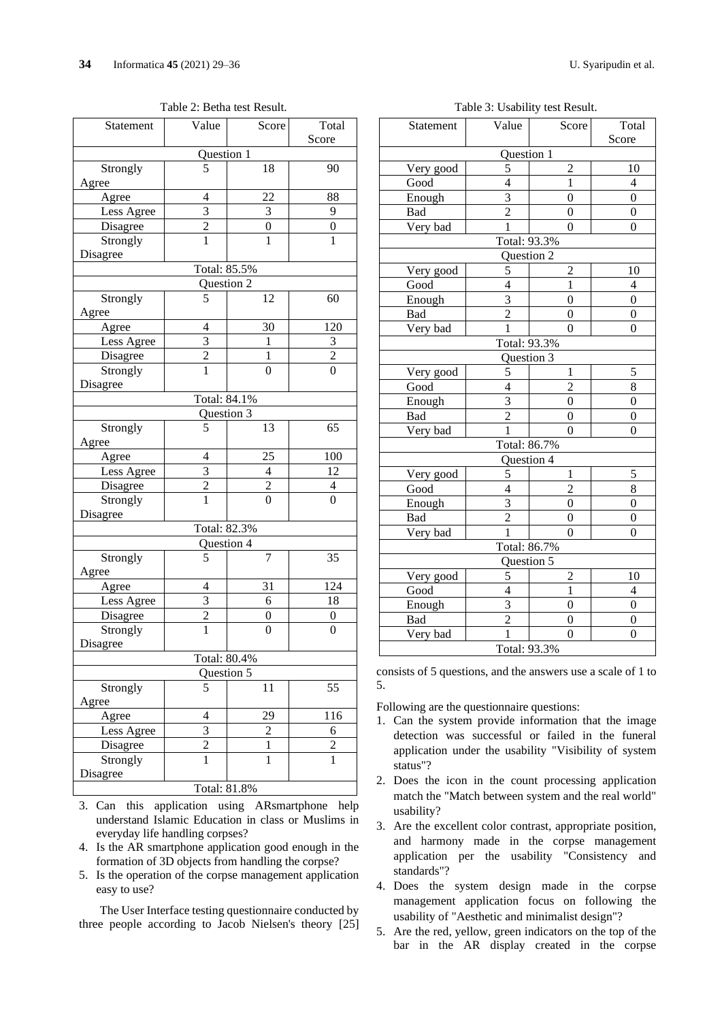Table 2: Betha test Result.

| Statement                | Value          | Score            | Total            |  |  |  |
|--------------------------|----------------|------------------|------------------|--|--|--|
|                          |                |                  | Score            |  |  |  |
|                          | Question 1     |                  |                  |  |  |  |
| Strongly                 | 5              | 18               | 90               |  |  |  |
| Agree                    |                |                  |                  |  |  |  |
| Agree                    | $\overline{4}$ | 22               | 88               |  |  |  |
| Less Agree               | $\frac{3}{2}$  | $\frac{3}{0}$    | 9                |  |  |  |
| Disagree                 |                |                  | $\boldsymbol{0}$ |  |  |  |
| Strongly                 |                | $\overline{1}$   | $\mathbf{1}$     |  |  |  |
| Disagree                 |                |                  |                  |  |  |  |
|                          | Total: 85.5%   |                  |                  |  |  |  |
|                          | Question 2     |                  |                  |  |  |  |
| Strongly                 | 5              | 12               | 60               |  |  |  |
| Agree                    |                |                  |                  |  |  |  |
| Agree                    | 4              | 30               | 120              |  |  |  |
| Less Agree               | 3              | 1                | 3                |  |  |  |
| Disagree                 | $\overline{c}$ | 1                | $\overline{2}$   |  |  |  |
| Strongly                 | $\overline{1}$ | 0                | $\overline{0}$   |  |  |  |
| Disagree                 |                |                  |                  |  |  |  |
|                          | Total: 84.1%   |                  |                  |  |  |  |
|                          | Question 3     |                  |                  |  |  |  |
| Strongly                 | 5              | 13               | 65               |  |  |  |
| Agree                    |                |                  |                  |  |  |  |
| Agree                    | 4              | 25               | 100              |  |  |  |
| Less Agree               | 3              | $\overline{4}$   | 12               |  |  |  |
| Disagree                 | $\overline{c}$ | $\overline{c}$   | 4                |  |  |  |
| Strongly                 | $\mathbf 1$    | $\boldsymbol{0}$ | $\overline{0}$   |  |  |  |
| Disagree                 |                |                  |                  |  |  |  |
|                          | Total: 82.3%   |                  |                  |  |  |  |
|                          | Question 4     |                  |                  |  |  |  |
| Strongly                 | 5              | 7                | 35               |  |  |  |
| Agree                    |                |                  |                  |  |  |  |
| Agree                    | 4              | 31               | 124              |  |  |  |
| Less Agree               | 3              | 6                | 18               |  |  |  |
| Disagree                 | $\overline{2}$ | 0                | 0                |  |  |  |
| Strongly                 | $\overline{1}$ | $\overline{0}$   | $\overline{0}$   |  |  |  |
| Disagree                 |                |                  |                  |  |  |  |
|                          | Total: 80.4%   |                  |                  |  |  |  |
| $\overline{Q}$ uestion 5 |                |                  |                  |  |  |  |
| Strongly                 | 5              | 11               | 55               |  |  |  |
| Agree                    |                |                  |                  |  |  |  |
| Agree                    | 4              | 29               | 116              |  |  |  |
| Less Agree               | $\overline{3}$ | $\overline{c}$   | 6                |  |  |  |
| Disagree                 | $\overline{2}$ | $\mathbf{1}$     | $\overline{c}$   |  |  |  |
| Strongly                 | $\overline{1}$ | $\mathbf{1}$     | $\overline{1}$   |  |  |  |
| Disagree                 |                |                  |                  |  |  |  |
| Total: 81.8%             |                |                  |                  |  |  |  |
|                          |                |                  |                  |  |  |  |

- 3. Can this application using ARsmartphone help understand Islamic Education in class or Muslims in everyday life handling corpses?
- 4. Is the AR smartphone application good enough in the formation of 3D objects from handling the corpse?
- 5. Is the operation of the corpse management application easy to use?

The User Interface testing questionnaire conducted by three people according to Jacob Nielsen's theory [25]

Table 3: Usability test Result.

| Statement                  | Value                      | Score                   | Total            |  |  |  |
|----------------------------|----------------------------|-------------------------|------------------|--|--|--|
| Score<br>Question 1        |                            |                         |                  |  |  |  |
| Very good                  | 5                          | $\overline{c}$          | 10               |  |  |  |
|                            | $\overline{4}$             | $\mathbf{1}$            | $\overline{4}$   |  |  |  |
| Good                       |                            |                         |                  |  |  |  |
| Enough                     | 3                          | $\overline{0}$          | $\boldsymbol{0}$ |  |  |  |
| Bad                        | $\overline{2}$             | $\overline{0}$          | $\boldsymbol{0}$ |  |  |  |
| Very bad                   | 1                          | $\theta$                | $\theta$         |  |  |  |
|                            | Total: 93.3%<br>Question 2 |                         |                  |  |  |  |
| Very good                  | 5                          | $\overline{c}$          | 10               |  |  |  |
| Good                       | $\overline{\mathbf{4}}$    | $\mathbf{1}$            | 4                |  |  |  |
|                            | 3                          | $\overline{0}$          | $\overline{0}$   |  |  |  |
| Enough                     |                            |                         |                  |  |  |  |
| Bad                        | $\overline{2}$             | $\overline{0}$          | $\boldsymbol{0}$ |  |  |  |
| Very bad                   | $\mathbf{1}$               | $\theta$                | $\boldsymbol{0}$ |  |  |  |
| Total: 93.3%<br>Question 3 |                            |                         |                  |  |  |  |
|                            |                            |                         | 5                |  |  |  |
| Very good                  | 5                          | $\mathbf{1}$            |                  |  |  |  |
| Good                       | $\overline{4}$             | $\overline{2}$          | 8                |  |  |  |
| Enough                     | 3                          | $\overline{0}$          | $\overline{0}$   |  |  |  |
| Bad                        | $\overline{c}$             | $\overline{0}$          | $\boldsymbol{0}$ |  |  |  |
| Very bad                   | $\mathbf{1}$               | $\overline{0}$          | $\boldsymbol{0}$ |  |  |  |
|                            | Total: 86.7%               |                         |                  |  |  |  |
|                            | Question 4                 |                         |                  |  |  |  |
| Very good                  | 5                          | 1                       | 5                |  |  |  |
| Good                       | $\overline{4}$             | $\overline{2}$          | 8                |  |  |  |
| Enough                     | $\overline{\mathbf{3}}$    | $\overline{0}$          | $\overline{0}$   |  |  |  |
| Bad                        | $\overline{2}$             | $\overline{0}$          | $\overline{0}$   |  |  |  |
| Very bad                   | $\overline{1}$             | $\overline{0}$          | $\overline{0}$   |  |  |  |
| Total: 86.7%               |                            |                         |                  |  |  |  |
| Question 5                 |                            |                         |                  |  |  |  |
| Very good                  | 5                          | $\overline{\mathbf{c}}$ | 10               |  |  |  |
| Good                       | $\overline{4}$             | $\mathbf{1}$            | 4                |  |  |  |
| Enough                     | $\overline{\mathbf{3}}$    | $\overline{0}$          | $\overline{0}$   |  |  |  |
| Bad                        | $\overline{2}$             | $\overline{0}$          | $\boldsymbol{0}$ |  |  |  |
| Very bad                   | $\overline{1}$             | $\overline{0}$          | $\overline{0}$   |  |  |  |
| Total: 93.3%               |                            |                         |                  |  |  |  |

consists of 5 questions, and the answers use a scale of 1 to 5.

Following are the questionnaire questions:

- 1. Can the system provide information that the image detection was successful or failed in the funeral application under the usability "Visibility of system status"?
- 2. Does the icon in the count processing application match the "Match between system and the real world" usability?
- 3. Are the excellent color contrast, appropriate position, and harmony made in the corpse management application per the usability "Consistency and standards"?
- 4. Does the system design made in the corpse management application focus on following the usability of "Aesthetic and minimalist design"?
- 5. Are the red, yellow, green indicators on the top of the bar in the AR display created in the corpse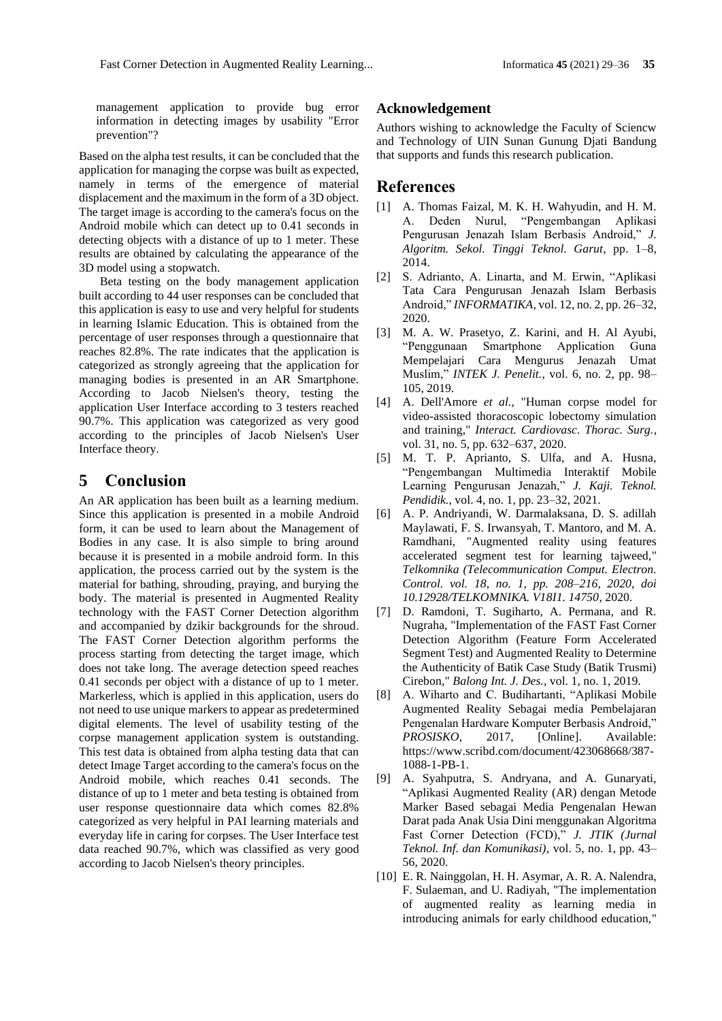management application to provide bug error information in detecting images by usability "Error prevention"?

Based on the alpha test results, it can be concluded that the application for managing the corpse was built as expected, namely in terms of the emergence of material displacement and the maximum in the form of a 3D object. The target image is according to the camera's focus on the Android mobile which can detect up to 0.41 seconds in detecting objects with a distance of up to 1 meter. These results are obtained by calculating the appearance of the 3D model using a stopwatch.

Beta testing on the body management application built according to 44 user responses can be concluded that this application is easy to use and very helpful for students in learning Islamic Education. This is obtained from the percentage of user responses through a questionnaire that reaches 82.8%. The rate indicates that the application is categorized as strongly agreeing that the application for managing bodies is presented in an AR Smartphone. According to Jacob Nielsen's theory, testing the application User Interface according to 3 testers reached 90.7%. This application was categorized as very good according to the principles of Jacob Nielsen's User Interface theory.

## **5 Conclusion**

An AR application has been built as a learning medium. Since this application is presented in a mobile Android form, it can be used to learn about the Management of Bodies in any case. It is also simple to bring around because it is presented in a mobile android form. In this application, the process carried out by the system is the material for bathing, shrouding, praying, and burying the body. The material is presented in Augmented Reality technology with the FAST Corner Detection algorithm and accompanied by dzikir backgrounds for the shroud. The FAST Corner Detection algorithm performs the process starting from detecting the target image, which does not take long. The average detection speed reaches 0.41 seconds per object with a distance of up to 1 meter. Markerless, which is applied in this application, users do not need to use unique markers to appear as predetermined digital elements. The level of usability testing of the corpse management application system is outstanding. This test data is obtained from alpha testing data that can detect Image Target according to the camera's focus on the Android mobile, which reaches 0.41 seconds. The distance of up to 1 meter and beta testing is obtained from user response questionnaire data which comes 82.8% categorized as very helpful in PAI learning materials and everyday life in caring for corpses. The User Interface test data reached 90.7%, which was classified as very good according to Jacob Nielsen's theory principles.

### **Acknowledgement**

Authors wishing to acknowledge the Faculty of Sciencw and Technology of UIN Sunan Gunung Djati Bandung that supports and funds this research publication.

## **References**

- [1] A. Thomas Faizal, M. K. H. Wahyudin, and H. M. A. Deden Nurul, "Pengembangan Aplikasi Pengurusan Jenazah Islam Berbasis Android," *J. Algoritm. Sekol. Tinggi Teknol. Garut*, pp. 1–8, 2014.
- [2] S. Adrianto, A. Linarta, and M. Erwin, "Aplikasi Tata Cara Pengurusan Jenazah Islam Berbasis Android," *INFORMATIKA*, vol. 12, no. 2, pp. 26–32, 2020.
- [3] M. A. W. Prasetyo, Z. Karini, and H. Al Ayubi, "Penggunaan Smartphone Application Guna Mempelajari Cara Mengurus Jenazah Umat Muslim," *INTEK J. Penelit.*, vol. 6, no. 2, pp. 98– 105, 2019.
- [4] A. Dell'Amore *et al.*, "Human corpse model for video-assisted thoracoscopic lobectomy simulation and training," *Interact. Cardiovasc. Thorac. Surg.*, vol. 31, no. 5, pp. 632–637, 2020.
- [5] M. T. P. Aprianto, S. Ulfa, and A. Husna, "Pengembangan Multimedia Interaktif Mobile Learning Pengurusan Jenazah," *J. Kaji. Teknol. Pendidik.*, vol. 4, no. 1, pp. 23–32, 2021.
- [6] A. P. Andriyandi, W. Darmalaksana, D. S. adillah Maylawati, F. S. Irwansyah, T. Mantoro, and M. A. Ramdhani, "Augmented reality using features accelerated segment test for learning tajweed," *Telkomnika (Telecommunication Comput. Electron. Control. vol. 18, no. 1, pp. 208–216, 2020, doi 10.12928/TELKOMNIKA. V18I1. 14750*, 2020.
- [7] D. Ramdoni, T. Sugiharto, A. Permana, and R. Nugraha, "Implementation of the FAST Fast Corner Detection Algorithm (Feature Form Accelerated Segment Test) and Augmented Reality to Determine the Authenticity of Batik Case Study (Batik Trusmi) Cirebon," *Balong Int. J. Des.*, vol. 1, no. 1, 2019.
- [8] A. Wiharto and C. Budihartanti, "Aplikasi Mobile Augmented Reality Sebagai media Pembelajaran Pengenalan Hardware Komputer Berbasis Android," *PROSISKO*, 2017, [Online]. Available: https://www.scribd.com/document/423068668/387- 1088-1-PB-1.
- [9] A. Syahputra, S. Andryana, and A. Gunaryati, "Aplikasi Augmented Reality (AR) dengan Metode Marker Based sebagai Media Pengenalan Hewan Darat pada Anak Usia Dini menggunakan Algoritma Fast Corner Detection (FCD)," *J. JTIK (Jurnal Teknol. Inf. dan Komunikasi)*, vol. 5, no. 1, pp. 43– 56, 2020.
- [10] E. R. Nainggolan, H. H. Asymar, A. R. A. Nalendra, F. Sulaeman, and U. Radiyah, "The implementation of augmented reality as learning media in introducing animals for early childhood education,"